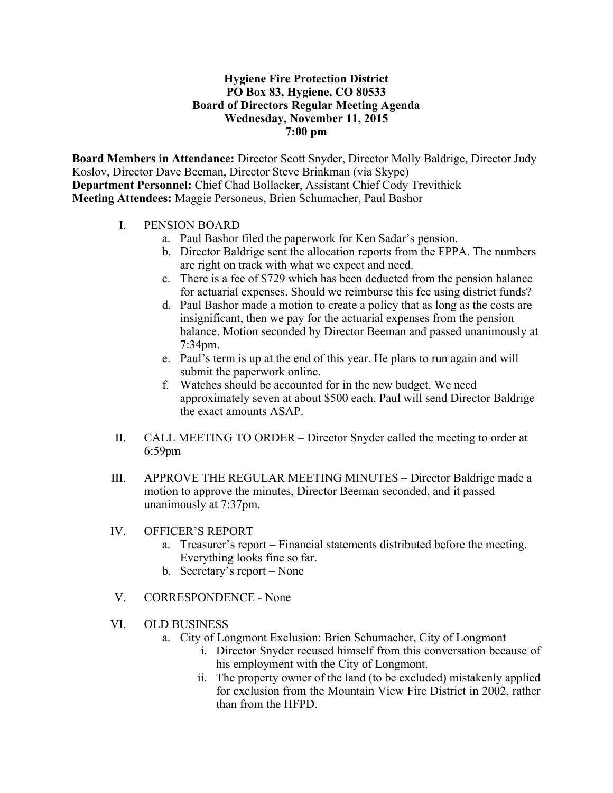## **Hygiene Fire Protection District PO Box 83, Hygiene, CO 80533 Board of Directors Regular Meeting Agenda Wednesday, November 11, 2015 7:00 pm**

**Board Members in Attendance:** Director Scott Snyder, Director Molly Baldrige, Director Judy Koslov, Director Dave Beeman, Director Steve Brinkman (via Skype) **Department Personnel:** Chief Chad Bollacker, Assistant Chief Cody Trevithick **Meeting Attendees:** Maggie Personeus, Brien Schumacher, Paul Bashor

- I. PENSION BOARD
	- a. Paul Bashor filed the paperwork for Ken Sadar's pension.
	- b. Director Baldrige sent the allocation reports from the FPPA. The numbers are right on track with what we expect and need.
	- c. There is a fee of \$729 which has been deducted from the pension balance for actuarial expenses. Should we reimburse this fee using district funds?
	- d. Paul Bashor made a motion to create a policy that as long as the costs are insignificant, then we pay for the actuarial expenses from the pension balance. Motion seconded by Director Beeman and passed unanimously at 7:34pm.
	- e. Paul's term is up at the end of this year. He plans to run again and will submit the paperwork online.
	- f. Watches should be accounted for in the new budget. We need approximately seven at about \$500 each. Paul will send Director Baldrige the exact amounts ASAP.
- II. CALL MEETING TO ORDER Director Snyder called the meeting to order at 6:59pm
- III. APPROVE THE REGULAR MEETING MINUTES Director Baldrige made a motion to approve the minutes, Director Beeman seconded, and it passed unanimously at 7:37pm.
- IV. OFFICER'S REPORT
	- a. Treasurer's report Financial statements distributed before the meeting. Everything looks fine so far.
	- b. Secretary's report None
- V. CORRESPONDENCE None
- VI. OLD BUSINESS
	- a. City of Longmont Exclusion: Brien Schumacher, City of Longmont
		- i. Director Snyder recused himself from this conversation because of his employment with the City of Longmont.
		- ii. The property owner of the land (to be excluded) mistakenly applied for exclusion from the Mountain View Fire District in 2002, rather than from the HFPD.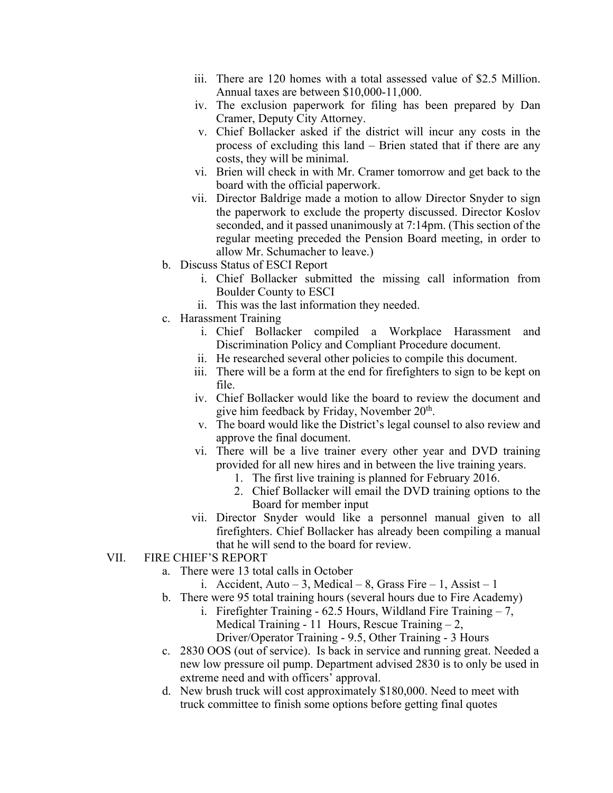- iii. There are 120 homes with a total assessed value of \$2.5 Million. Annual taxes are between \$10,000-11,000.
- iv. The exclusion paperwork for filing has been prepared by Dan Cramer, Deputy City Attorney.
- v. Chief Bollacker asked if the district will incur any costs in the process of excluding this land – Brien stated that if there are any costs, they will be minimal.
- vi. Brien will check in with Mr. Cramer tomorrow and get back to the board with the official paperwork.
- vii. Director Baldrige made a motion to allow Director Snyder to sign the paperwork to exclude the property discussed. Director Koslov seconded, and it passed unanimously at 7:14pm. (This section of the regular meeting preceded the Pension Board meeting, in order to allow Mr. Schumacher to leave.)
- b. Discuss Status of ESCI Report
	- i. Chief Bollacker submitted the missing call information from Boulder County to ESCI
	- ii. This was the last information they needed.
- c. Harassment Training
	- i. Chief Bollacker compiled a Workplace Harassment and Discrimination Policy and Compliant Procedure document.
	- ii. He researched several other policies to compile this document.
	- iii. There will be a form at the end for firefighters to sign to be kept on file.
	- iv. Chief Bollacker would like the board to review the document and give him feedback by Friday, November  $20<sup>th</sup>$ .
	- v. The board would like the District's legal counsel to also review and approve the final document.
	- vi. There will be a live trainer every other year and DVD training provided for all new hires and in between the live training years.
		- 1. The first live training is planned for February 2016.
		- 2. Chief Bollacker will email the DVD training options to the Board for member input
	- vii. Director Snyder would like a personnel manual given to all firefighters. Chief Bollacker has already been compiling a manual that he will send to the board for review.

## VII. FIRE CHIEF'S REPORT

- a. There were 13 total calls in October
	- i. Accident, Auto 3, Medical 8, Grass Fire 1, Assist 1
- b. There were 95 total training hours (several hours due to Fire Academy)
	- i. Firefighter Training  $62.5$  Hours, Wildland Fire Training  $-7$ , Medical Training - 11 Hours, Rescue Training – 2,
		- Driver/Operator Training 9.5, Other Training 3 Hours
- c. 2830 OOS (out of service). Is back in service and running great. Needed a new low pressure oil pump. Department advised 2830 is to only be used in extreme need and with officers' approval.
- d. New brush truck will cost approximately \$180,000. Need to meet with truck committee to finish some options before getting final quotes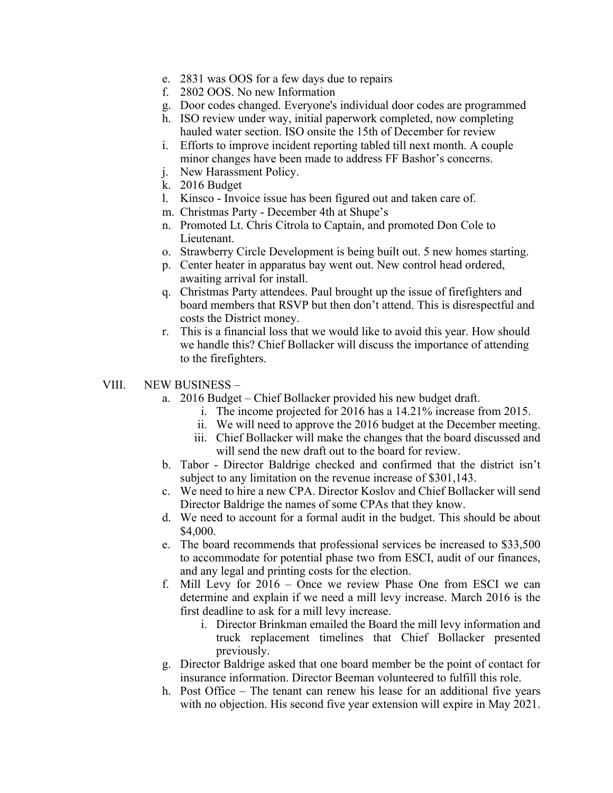- e. 2831 was OOS for a few days due to repairs
- f. 2802 OOS. No new Information
- g. Door codes changed. Everyone's individual door codes are programmed
- h. ISO review under way, initial paperwork completed, now completing hauled water section. ISO onsite the 15th of December for review
- i. Efforts to improve incident reporting tabled till next month. A couple minor changes have been made to address FF Bashor's concerns.
- j. New Harassment Policy.
- k. 2016 Budget
- l. Kinsco Invoice issue has been figured out and taken care of.
- m. Christmas Party December 4th at Shupe's
- n. Promoted Lt. Chris Citrola to Captain, and promoted Don Cole to Lieutenant.
- o. Strawberry Circle Development is being built out. 5 new homes starting.
- p. Center heater in apparatus bay went out. New control head ordered, awaiting arrival for install.
- q. Christmas Party attendees. Paul brought up the issue of firefighters and board members that RSVP but then don't attend. This is disrespectful and costs the District money.
- r. This is a financial loss that we would like to avoid this year. How should we handle this? Chief Bollacker will discuss the importance of attending to the firefighters.
- VIII. NEW BUSINESS
	- a. 2016 Budget Chief Bollacker provided his new budget draft.
		- i. The income projected for 2016 has a 14.21% increase from 2015.
		- ii. We will need to approve the 2016 budget at the December meeting.
		- iii. Chief Bollacker will make the changes that the board discussed and will send the new draft out to the board for review.
	- b. Tabor Director Baldrige checked and confirmed that the district isn't subject to any limitation on the revenue increase of \$301,143.
	- c. We need to hire a new CPA. Director Koslov and Chief Bollacker will send Director Baldrige the names of some CPAs that they know.
	- d. We need to account for a formal audit in the budget. This should be about \$4,000.
	- e. The board recommends that professional services be increased to \$33,500 to accommodate for potential phase two from ESCI, audit of our finances, and any legal and printing costs for the election.
	- f. Mill Levy for 2016 Once we review Phase One from ESCI we can determine and explain if we need a mill levy increase. March 2016 is the first deadline to ask for a mill levy increase.
		- i. Director Brinkman emailed the Board the mill levy information and truck replacement timelines that Chief Bollacker presented previously.
	- g. Director Baldrige asked that one board member be the point of contact for insurance information. Director Beeman volunteered to fulfill this role.
	- h. Post Office The tenant can renew his lease for an additional five years with no objection. His second five year extension will expire in May 2021.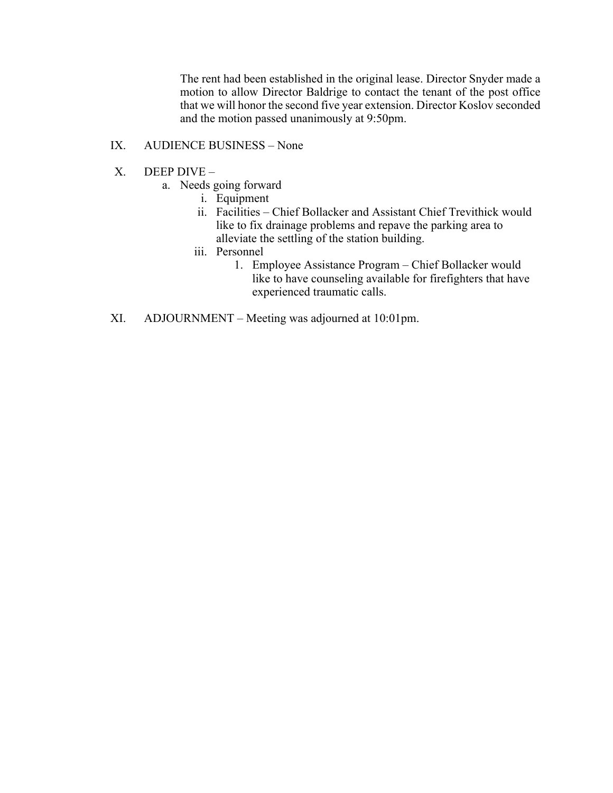The rent had been established in the original lease. Director Snyder made a motion to allow Director Baldrige to contact the tenant of the post office that we will honor the second five year extension. Director Koslov seconded and the motion passed unanimously at 9:50pm.

# IX. AUDIENCE BUSINESS – None

- X. DEEP DIVE
	- a. Needs going forward
		- i. Equipment
		- ii. Facilities Chief Bollacker and Assistant Chief Trevithick would like to fix drainage problems and repave the parking area to alleviate the settling of the station building.
		- iii. Personnel
			- 1. Employee Assistance Program Chief Bollacker would like to have counseling available for firefighters that have experienced traumatic calls.
- XI. ADJOURNMENT Meeting was adjourned at 10:01pm.